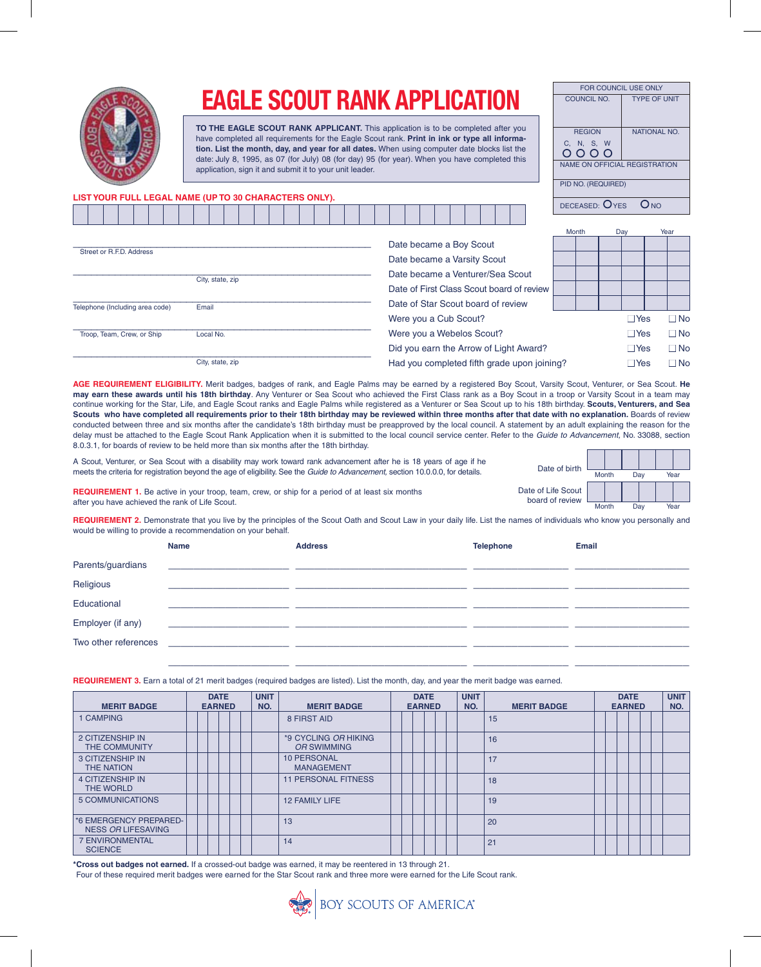

## **EAGLE SCOUT RANK APPLICATION**

**TO THE EAGLE SCOUT RANK APPLICANT.** This application is to be completed after you have completed all requirements for the Eagle Scout rank. **Print in ink or type all information. List the month, day, and year for all dates.** When using computer date blocks list the date: July 8, 1995, as 07 (for July) 08 (for day) 95 (for year). When you have completed this application, sign it and submit it to your unit leader.

| <b>FOR COUNCIL USE ONLY</b>         |                     |
|-------------------------------------|---------------------|
| COUNCIL NO.                         | <b>TYPE OF UNIT</b> |
| <b>REGION</b><br>C, N, S, W<br>0000 | <b>NATIONAL NO.</b> |
| NAME ON OFFICIAL REGISTRATION       |                     |
| PID NO. (REQUIRED)                  |                     |
| DECEASED: $O$ YES                   |                     |

## **LIST YOUR FULL LEGAL NAME (UP TO 30 CHARACTERS ONLY).**

|                                 |                  |  |  |  |  |  |                                           |                                    |  |  |  |  |  |  |  |                                        |                                             |       | $DLOLACLO.$ $ICO$ |            | $\sim$ $\sim$ |             |
|---------------------------------|------------------|--|--|--|--|--|-------------------------------------------|------------------------------------|--|--|--|--|--|--|--|----------------------------------------|---------------------------------------------|-------|-------------------|------------|---------------|-------------|
|                                 |                  |  |  |  |  |  |                                           |                                    |  |  |  |  |  |  |  |                                        |                                             | Month |                   | Day        |               | Year        |
|                                 |                  |  |  |  |  |  |                                           | Date became a Boy Scout            |  |  |  |  |  |  |  |                                        |                                             |       |                   |            |               |             |
| Street or R.F.D. Address        |                  |  |  |  |  |  |                                           | Date became a Varsity Scout        |  |  |  |  |  |  |  |                                        |                                             |       |                   |            |               |             |
|                                 | City, state, zip |  |  |  |  |  |                                           | Date became a Venturer/Sea Scout   |  |  |  |  |  |  |  |                                        |                                             |       |                   |            |               |             |
|                                 |                  |  |  |  |  |  | Date of First Class Scout board of review |                                    |  |  |  |  |  |  |  |                                        |                                             |       |                   |            |               |             |
| Telephone (Including area code) | Email            |  |  |  |  |  |                                           | Date of Star Scout board of review |  |  |  |  |  |  |  |                                        |                                             |       |                   |            |               |             |
|                                 |                  |  |  |  |  |  |                                           | Were you a Cub Scout?              |  |  |  |  |  |  |  |                                        |                                             |       |                   | $\Box$ Yes |               | $\neg$ No   |
| Troop, Team, Crew, or Ship      | Local No.        |  |  |  |  |  |                                           | Were you a Webelos Scout?          |  |  |  |  |  |  |  |                                        |                                             |       |                   | $\Box$ Yes |               | $\sqcap$ No |
|                                 |                  |  |  |  |  |  |                                           |                                    |  |  |  |  |  |  |  | Did you earn the Arrow of Light Award? |                                             |       |                   | $\Box$ Yes |               | $\Box$ No   |
|                                 | City, state, zip |  |  |  |  |  |                                           |                                    |  |  |  |  |  |  |  |                                        | Had you completed fifth grade upon joining? |       |                   | $\Box$ Yes |               | $\sqcap$ No |
|                                 |                  |  |  |  |  |  |                                           |                                    |  |  |  |  |  |  |  |                                        |                                             |       |                   |            |               |             |

AGE REQUIREMENT ELIGIBILITY. Merit badges, badges of rank, and Eagle Palms may be earned by a registered Boy Scout, Varsity Scout, Venturer, or Sea Scout. He **may earn these awards until his 18th birthday**. Any Venturer or Sea Scout who achieved the First Class rank as a Boy Scout in a troop or Varsity Scout in a team may continue working for the Star, Life, and Eagle Scout ranks and Eagle Palms while registered as a Venturer or Sea Scout up to his 18th birthday. **Scouts, Venturers, and Sea Scouts who have completed all requirements prior to their 18th birthday may be reviewed within three months after that date with no explanation.** Boards of review conducted between three and six months after the candidate's 18th birthday must be preapproved by the local council. A statement by an adult explaining the reason for the delay must be attached to the Eagle Scout Rank Application when it is submitted to the local council service center. Refer to the *Guide to Advancement,* No. 33088, section 8.0.3.1, for boards of review to be held more than six months after the 18th birthday.

A Scout, Venturer, or Sea Scout with a disability may work toward rank advancement after he is 18 years of age if he meets the criteria for registration beyond the age of eligibility. See the *Guide to Advancement,* section 10.0.0.0, for details.

| Date of birth                        |       |  |     |      |  |  |  |  |
|--------------------------------------|-------|--|-----|------|--|--|--|--|
|                                      | Month |  | Day | Year |  |  |  |  |
| ate of Life Scout<br>board of review |       |  |     |      |  |  |  |  |
|                                      | Month |  |     | ⁄ear |  |  |  |  |

Date

**REQUIREMENT 1.** Be active in your troop, team, crew, or ship for a period of at least six months after you have achieved the rank of Life Scout.

**REQUIREMENT 2.** Demonstrate that you live by the principles of the Scout Oath and Scout Law in your daily life. List the names of individuals who know you personally and would be willing to provide a recommendation on your behalf.

|                      | <b>Name</b>                                               | <b>Address</b> | <b>Telephone</b> | <b>Email</b> |
|----------------------|-----------------------------------------------------------|----------------|------------------|--------------|
| Parents/guardians    |                                                           |                |                  |              |
| Religious            |                                                           |                |                  |              |
| Educational          |                                                           |                |                  |              |
| Employer (if any)    |                                                           |                |                  |              |
| Two other references | <u> 1980 - Jan Barat, martin al-Amerikaansk politik (</u> |                |                  |              |
|                      |                                                           |                |                  |              |

**REQUIREMENT 3.** Earn a total of 21 merit badges (required badges are listed). List the month, day, and year the merit badge was earned.

| <b>MERIT BADGE</b>                           | <b>DATE</b><br><b>EARNED</b> |  |  |  |  | <b>UNIT</b><br>NO.                      | <b>MERIT BADGE</b> |  | <b>DATE</b><br><b>EARNED</b> |  | <b>UNIT</b><br>NO. | <b>MERIT BADGE</b> | <b>EARNED</b> | <b>DATE</b> |  | <b>UNIT</b><br>NO. |
|----------------------------------------------|------------------------------|--|--|--|--|-----------------------------------------|--------------------|--|------------------------------|--|--------------------|--------------------|---------------|-------------|--|--------------------|
| 1 CAMPING                                    |                              |  |  |  |  | 8 FIRST AID                             |                    |  |                              |  | 15                 |                    |               |             |  |                    |
| 2 CITIZENSHIP IN<br><b>THE COMMUNITY</b>     |                              |  |  |  |  | *9 CYCLING OR HIKING<br>OR SWIMMING     |                    |  |                              |  | 16                 |                    |               |             |  |                    |
| <b>3 CITIZENSHIP IN</b><br><b>THE NATION</b> |                              |  |  |  |  | <b>10 PERSONAL</b><br><b>MANAGEMENT</b> |                    |  |                              |  | 17                 |                    |               |             |  |                    |
| <b>4 CITIZENSHIP IN</b><br>THE WORLD         |                              |  |  |  |  | <b>11 PERSONAL FITNESS</b>              |                    |  |                              |  | 18                 |                    |               |             |  |                    |
| 5 COMMUNICATIONS                             |                              |  |  |  |  | <b>12 FAMILY LIFE</b>                   |                    |  |                              |  | 19                 |                    |               |             |  |                    |
| *6 EMERGENCY PREPARED-<br>NESS OR LIFESAVING |                              |  |  |  |  | 13                                      |                    |  |                              |  | 20                 |                    |               |             |  |                    |
| <b>7 ENVIRONMENTAL</b><br><b>SCIENCE</b>     |                              |  |  |  |  | 14                                      |                    |  |                              |  | 21                 |                    |               |             |  |                    |

**\*Cross out badges not earned.** If a crossed-out badge was earned, it may be reentered in 13 through 21.

Four of these required merit badges were earned for the Star Scout rank and three more were earned for the Life Scout rank.